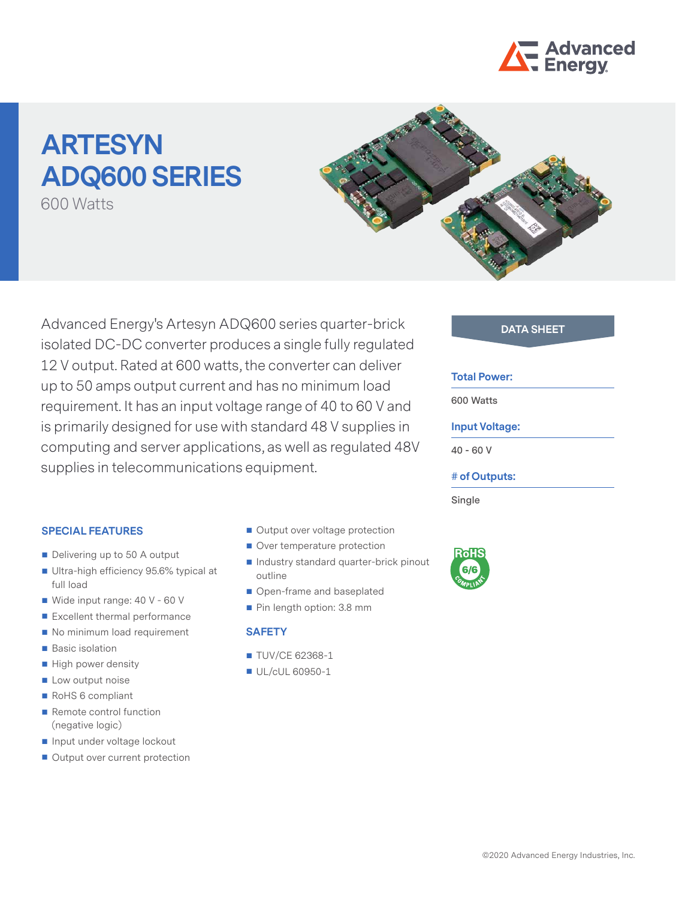

# **ARTESYN ADQ600 SERIES**

600 Watts



Advanced Energy's Artesyn ADQ600 series quarter-brick **DATA SHEET** isolated DC-DC converter produces a single fully regulated 12 V output. Rated at 600 watts, the converter can deliver up to 50 amps output current and has no minimum load requirement. It has an input voltage range of 40 to 60 V and is primarily designed for use with standard 48 V supplies in computing and server applications, as well as regulated 48V supplies in telecommunications equipment.

### **Total Power:**

**600 Watts**

# **Input Voltage:**

**40 - 60 V**

### **# of Outputs:**

**Single**



### **SPECIAL FEATURES**

- Delivering up to 50 A output
- Ultra-high efficiency 95.6% typical at full load
- Wide input range: 40 V 60 V
- Excellent thermal performance
- No minimum load requirement
- **Basic isolation**
- $\blacksquare$  High power density
- **Low output noise**
- RoHS 6 compliant
- Remote control function (negative logic)
- Input under voltage lockout
- Output over current protection
- Output over voltage protection
- Over temperature protection
- Industry standard quarter-brick pinout outline
- Open-frame and baseplated
- Pin length option: 3.8 mm

## **SAFETY**

- **TUV/CE 62368-1**
- UL/cUL 60950-1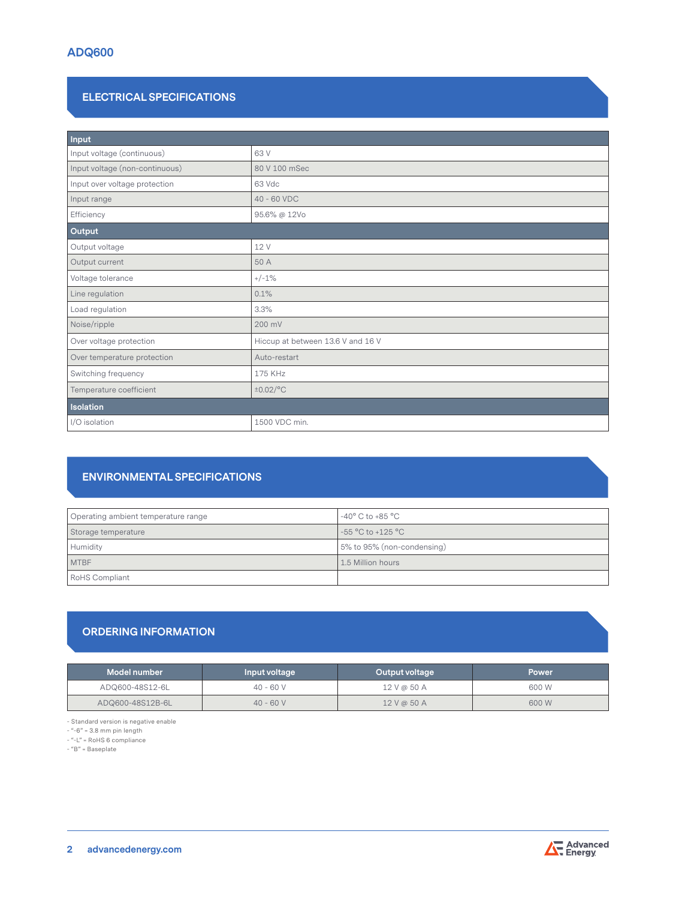# **ELECTRICAL SPECIFICATIONS**

| Input                          |                                   |  |  |
|--------------------------------|-----------------------------------|--|--|
| Input voltage (continuous)     | 63 V                              |  |  |
| Input voltage (non-continuous) | 80 V 100 mSec                     |  |  |
| Input over voltage protection  | 63 Vdc                            |  |  |
| Input range                    | 40 - 60 VDC                       |  |  |
| Efficiency                     | 95.6% @ 12Vo                      |  |  |
| Output                         |                                   |  |  |
| Output voltage                 | 12 V                              |  |  |
| Output current                 | 50 A                              |  |  |
| Voltage tolerance              | $+/-1%$                           |  |  |
| Line regulation                | 0.1%                              |  |  |
| Load regulation                | 3.3%                              |  |  |
| Noise/ripple                   | 200 mV                            |  |  |
| Over voltage protection        | Hiccup at between 13.6 V and 16 V |  |  |
| Over temperature protection    | Auto-restart                      |  |  |
| Switching frequency            | 175 KHz                           |  |  |
| Temperature coefficient        | $\pm 0.02$ /°C                    |  |  |
| <b>Isolation</b>               |                                   |  |  |
| I/O isolation                  | 1500 VDC min.                     |  |  |

# **ENVIRONMENTAL SPECIFICATIONS**

| Operating ambient temperature range | -40 $^{\circ}$ C to +85 $^{\circ}$ C |
|-------------------------------------|--------------------------------------|
| Storage temperature                 | $-55$ °C to +125 °C                  |
| Humidity                            | 5% to 95% (non-condensing)           |
| <b>MTBF</b>                         | 1.5 Million hours                    |
| <b>RoHS Compliant</b>               |                                      |

# **ORDERING INFORMATION**

| Model number     | Input voltage | Output voltage | <b>Power</b> |
|------------------|---------------|----------------|--------------|
| ADQ600-48S12-6L  | $40 - 60V$    | 12 V @ 50 A    | 600 W        |
| ADQ600-48S12B-6L | $40 - 60V$    | 12 V @ 50 A    | 600 W        |

- Standard version is negative enable

- "-6" = 3.8 mm pin length

- "-L" = RoHS 6 compliance

- "B" = Baseplate

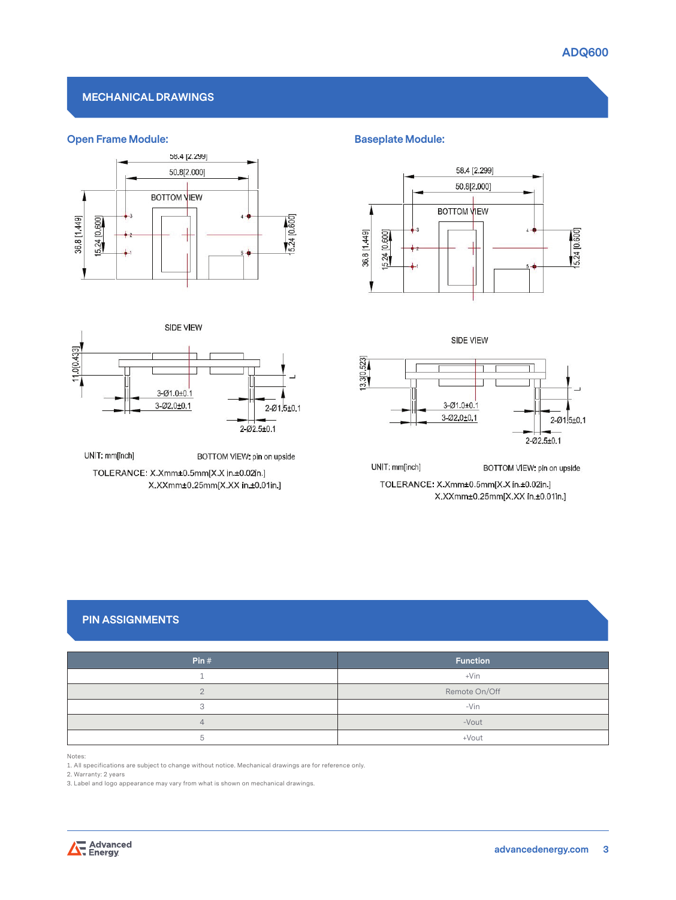# **MECHANICAL DRAWINGS**

# **Open Frame Module: Baseplate Module: Baseplate Module:**





UNIT: mm[inch] BOTTOM VIEW: pin on upside TOLERANCE: X.Xmm±0.5mm[X.X in.±0.02in.] X.XXmm±0.25mm[X.XX in±0.01in.]



**SIDE VIEW** 



UNIT: mm[inch] BOTTOM VIEW: pin on upside TOLERANCE: X.Xmm±0.5mm[X.X in.±0.02in.] X.XXmm±0.25mm[X.XX in.±0.01in.]

# **PIN ASSIGNMENTS**

| Pin#           | <b>Function</b> |
|----------------|-----------------|
|                | $+V$ in         |
|                | Remote On/Off   |
| $\Omega$       | $-Vin$          |
| $\overline{4}$ | -Vout           |
|                | +Vout           |

Notes:

1. All specifications are subject to change without notice. Mechanical drawings are for reference only.

2. Warranty: 2 years

3. Label and logo appearance may vary from what is shown on mechanical drawings.